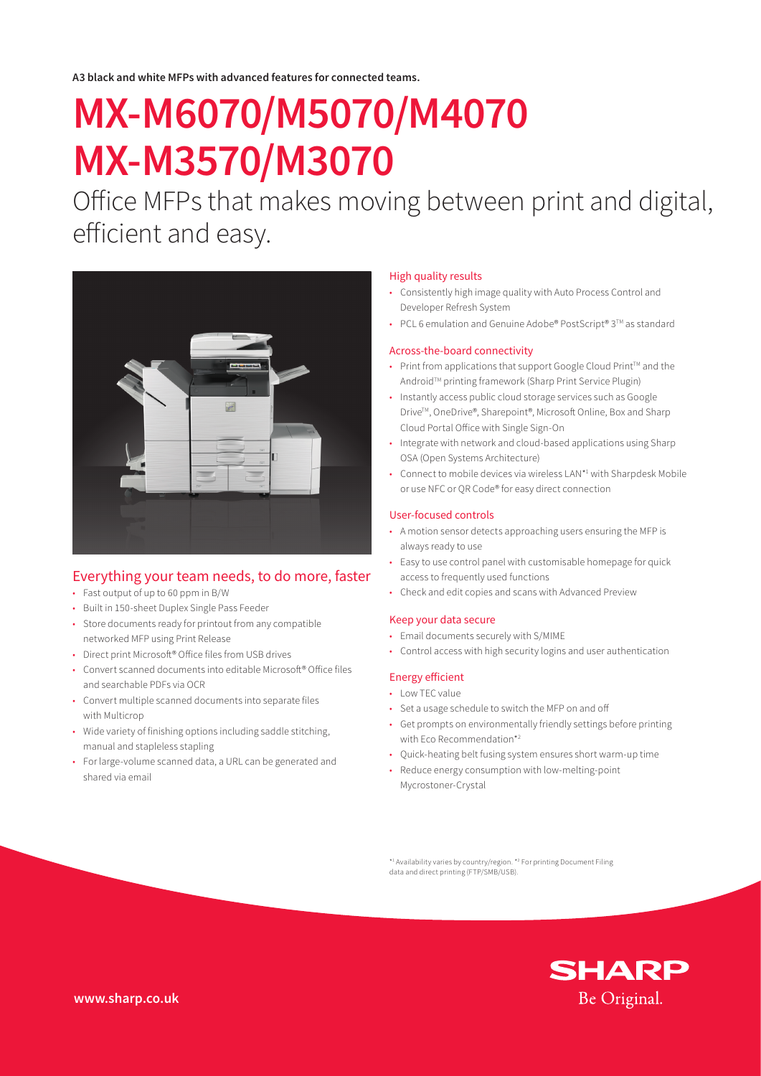**A3 black and white MFPs with advanced features for connected teams.**

# **MX-M6070/M5070/M4070 MX-M3570/M3070**

Office MFPs that makes moving between print and digital, efficient and easy.



### Everything your team needs, to do more, faster

- Fast output of up to 60 ppm in B/W
- Built in 150-sheet Duplex Single Pass Feeder
- Store documents ready for printout from any compatible networked MFP using Print Release
- Direct print Microsoft® Office files from USB drives
- Convert scanned documents into editable Microsoft® Office files and searchable PDFs via OCR
- Convert multiple scanned documents into separate files with Multicrop
- Wide variety of finishing options including saddle stitching, manual and stapleless stapling
- For large-volume scanned data, a URL can be generated and shared via email

#### High quality results

- Consistently high image quality with Auto Process Control and Developer Refresh System
- PCL 6 emulation and Genuine Adobe® PostScript® 3TM as standard

#### Across-the-board connectivity

- Print from applications that support Google Cloud Print<sup>™</sup> and the Android™ printing framework (Sharp Print Service Plugin)
- Instantly access public cloud storage services such as Google Drive™, OneDrive®, Sharepoint®, Microsoft Online, Box and Sharp Cloud Portal Office with Single Sign-On
- Integrate with network and cloud-based applications using Sharp OSA (Open Systems Architecture)
- Connect to mobile devices via wireless LAN\*1 with Sharpdesk Mobile or use NFC or QR Code® for easy direct connection

#### User-focused controls

- A motion sensor detects approaching users ensuring the MFP is always ready to use
- Easy to use control panel with customisable homepage for quick access to frequently used functions
- Check and edit copies and scans with Advanced Preview

#### Keep your data secure

- Email documents securely with S/MIME
- Control access with high security logins and user authentication

#### Energy efficient

- Low TEC value
- Set a usage schedule to switch the MFP on and off
- Get prompts on environmentally friendly settings before printing with Eco Recommendation\*2
- Quick-heating belt fusing system ensures short warm-up time
- Reduce energy consumption with low-melting-point Mycrostoner-Crystal

\*1 Availability varies by country/region. \*2 For printing Document Filing data and direct printing (FTP/SMB/USB).